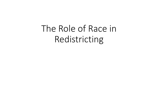The Role of Race in Redistricting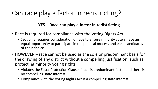# Can race play a factor in redistricting?

### **YES – Race can play a factor in redistricting**

- Race is required for compliance with the Voting Rights Act
	- Section 2 requires consideration of race to ensure minority voters have an equal opportunity to participate in the political process and elect candidates of their choice
- HOWEVER race cannot be used as the sole or predominant basis for the drawing of any district without a compelling justification, such as protecting minority voting rights.
	- Violates the Equal Protection Clause if race is predominant factor and there is no compelling state interest
	- Compliance with the Voting Rights Act is a compelling state interest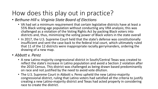# How does this play out in practice?

- *Bethune-Hill v. Virginia State Board of Elections*
	- VA had set a minimum requirement that certain legislative districts have at least a 55% Black voting-age population without conducting any VRA analysis; this was challenged as a violation of the Voting Rights Act by packing Black voters into districts and, thus, minimizing the voting power of Black voters in the state overall
	- In 2017, the U.S. Supreme Court held that the state's defense was constitutionally insufficient and sent the case back to the federal trial court, which ultimately ruled that 11 of the 12 districts were inappropriate racially gerrymanders, ordering the drawing of a new map.

#### • *Abbott v. Perez*

- A new Latino-majority congressional district in South/Central Texas was created to reflect the state's increase in Latino population and avoid a Section 2 violation after the 2010 Census. This district was challenged as being drawn based predominantly on race and not justified by the need to avoid vote dilution.
- The U.S. Supreme Court in Abbott v. Perez upheld the new Latino-majority congressional district, ruling that Latino voters had satisfied all the criteria to justify creating a new Latino-majority district and Texas had acted properly in considering race to create the district.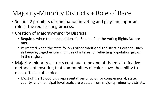# Majority-Minority Districts + Role of Race

- Section 2 prohibits discrimination in voting and plays an important role in the redistricting process.
- Creation of Majority-minority Districts
	- Required when the preconditions for Section 2 of the Voting Rights Act are met.
	- Permitted when the state follows other traditional redistricting criteria, such as keeping together communities of interest or reflecting population growth in the region.
- Majority-minority districts continue to be one of the most effective methods of ensuring that communities of color have the ability to elect officials of choice.
	- Most of the 10,000 plus representatives of color for congressional, state, county, and municipal-level seats are elected from majority-minority districts.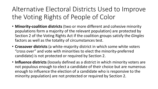Alternative Electoral Districts Used to Improve the Voting Rights of People of Color

- **Minority-coalition districts** (two or more different and cohesive minority populations form a majority of the relevant population) are protected by Section 2 of the Voting Rights Act if the coalition groups satisfy the *Gingles* factors as well as the totality of circumstances test.
- **Crossover districts** (a white-majority district in which some white voters "cross over" and vote with minorities to elect the minority-preferred candidate) is not protected or required by Section 2.
- **Influence districts** (loosely defined as a district in which minority voters are not populous enough to elect a candidate of their choice but are numerous enough to influence the election of a candidate who is responsive to the minority population) are not protected or required by Section 2.